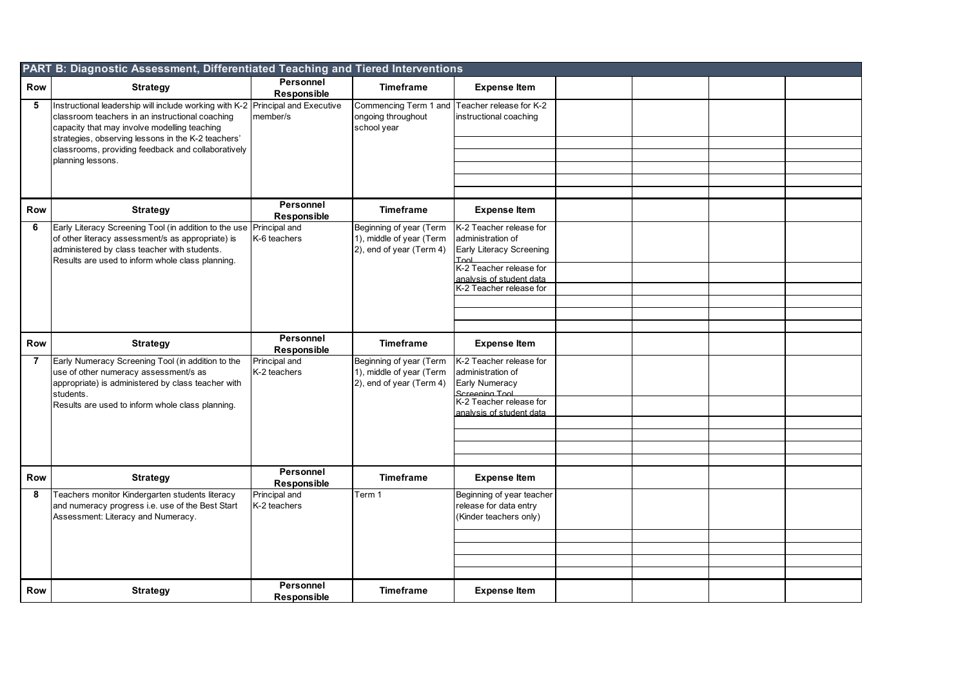|                | PART B: Diagnostic Assessment, Differentiated Teaching and Tiered Interventions                                                                                                                                                         |                                 |                                                                                 |                                                                                  |  |  |
|----------------|-----------------------------------------------------------------------------------------------------------------------------------------------------------------------------------------------------------------------------------------|---------------------------------|---------------------------------------------------------------------------------|----------------------------------------------------------------------------------|--|--|
| Row            | <b>Strategy</b>                                                                                                                                                                                                                         | Personnel<br>Responsible        | <b>Timeframe</b>                                                                | <b>Expense Item</b>                                                              |  |  |
| 5              | Instructional leadership will include working with K-2 Principal and Executive<br>classroom teachers in an instructional coaching<br>capacity that may involve modelling teaching<br>strategies, observing lessons in the K-2 teachers' | member/s                        | Commencing Term 1 and<br>ongoing throughout<br>school year                      | Teacher release for K-2<br>instructional coaching                                |  |  |
|                | classrooms, providing feedback and collaboratively<br>planning lessons.                                                                                                                                                                 |                                 |                                                                                 |                                                                                  |  |  |
|                |                                                                                                                                                                                                                                         |                                 |                                                                                 |                                                                                  |  |  |
|                |                                                                                                                                                                                                                                         |                                 |                                                                                 |                                                                                  |  |  |
|                |                                                                                                                                                                                                                                         |                                 |                                                                                 |                                                                                  |  |  |
| <b>Row</b>     | <b>Strategy</b>                                                                                                                                                                                                                         | Personnel<br><b>Responsible</b> | <b>Timeframe</b>                                                                | <b>Expense Item</b>                                                              |  |  |
| 6              | Early Literacy Screening Tool (in addition to the use Principal and<br>of other literacy assessment/s as appropriate) is<br>administered by class teacher with students.<br>Results are used to inform whole class planning.            | K-6 teachers                    | Beginning of year (Term<br>1), middle of year (Term<br>2), end of year (Term 4) | K-2 Teacher release for<br>administration of<br>Early Literacy Screening<br>Tool |  |  |
|                |                                                                                                                                                                                                                                         |                                 |                                                                                 | K-2 Teacher release for<br>analysis of student data                              |  |  |
|                |                                                                                                                                                                                                                                         |                                 |                                                                                 | K-2 Teacher release for                                                          |  |  |
|                |                                                                                                                                                                                                                                         |                                 |                                                                                 |                                                                                  |  |  |
|                |                                                                                                                                                                                                                                         |                                 |                                                                                 |                                                                                  |  |  |
| Row            | <b>Strategy</b>                                                                                                                                                                                                                         | Personnel<br>Responsible        | <b>Timeframe</b>                                                                | <b>Expense Item</b>                                                              |  |  |
| $\overline{7}$ | Early Numeracy Screening Tool (in addition to the<br>use of other numeracy assessment/s as<br>appropriate) is administered by class teacher with<br>students.                                                                           | Principal and<br>K-2 teachers   | Beginning of year (Term<br>1), middle of year (Term<br>2), end of year (Term 4) | K-2 Teacher release for<br>administration of<br>Early Numeracy<br>Screening Tool |  |  |
|                | Results are used to inform whole class planning.                                                                                                                                                                                        |                                 |                                                                                 | K-2 Teacher release for<br>analysis of student data                              |  |  |
|                |                                                                                                                                                                                                                                         |                                 |                                                                                 |                                                                                  |  |  |
|                |                                                                                                                                                                                                                                         |                                 |                                                                                 |                                                                                  |  |  |
|                |                                                                                                                                                                                                                                         |                                 |                                                                                 |                                                                                  |  |  |
| <b>Row</b>     | <b>Strategy</b>                                                                                                                                                                                                                         | Personnel<br>Responsible        | <b>Timeframe</b>                                                                | <b>Expense Item</b>                                                              |  |  |
| 8              | Teachers monitor Kindergarten students literacy<br>and numeracy progress i.e. use of the Best Start<br>Assessment: Literacy and Numeracy.                                                                                               | Principal and<br>K-2 teachers   | Term 1                                                                          | Beginning of year teacher<br>release for data entry<br>(Kinder teachers only)    |  |  |
|                |                                                                                                                                                                                                                                         |                                 |                                                                                 |                                                                                  |  |  |
|                |                                                                                                                                                                                                                                         |                                 |                                                                                 |                                                                                  |  |  |
|                |                                                                                                                                                                                                                                         |                                 |                                                                                 |                                                                                  |  |  |
| <b>Row</b>     | <b>Strategy</b>                                                                                                                                                                                                                         | Personnel<br><b>Responsible</b> | <b>Timeframe</b>                                                                | <b>Expense Item</b>                                                              |  |  |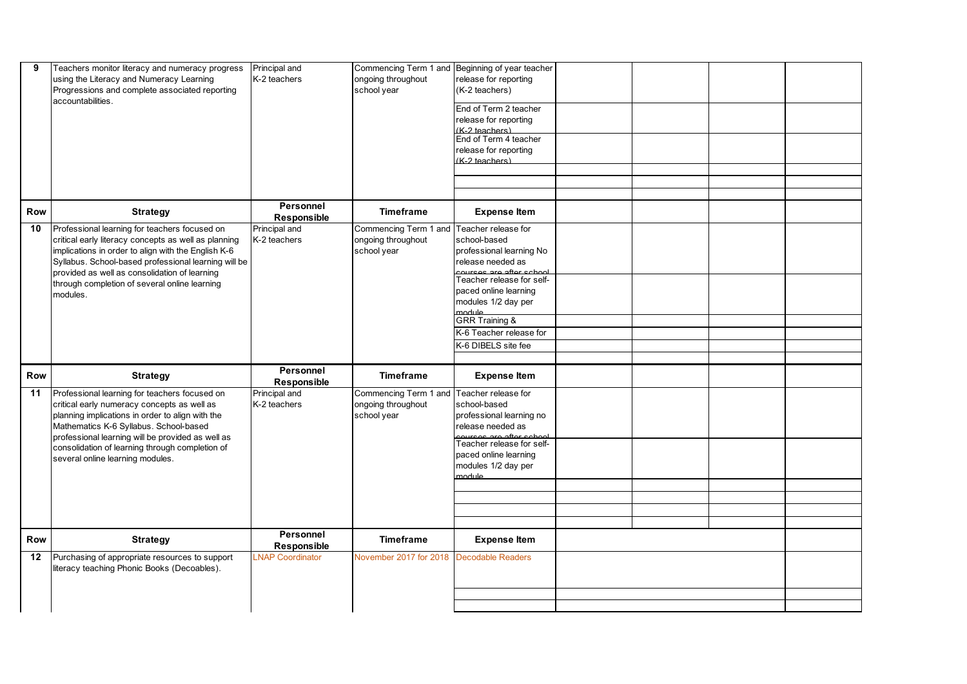| 9          | Teachers monitor literacy and numeracy progress<br>using the Literacy and Numeracy Learning<br>Progressions and complete associated reporting<br>accountabilities.                                                                                                                                                                     | Principal and<br>K-2 teachers | ongoing throughout<br>school year                                              | Commencing Term 1 and Beginning of year teacher<br>release for reporting<br>(K-2 teachers)<br>End of Term 2 teacher<br>release for reporting<br>(K-2 teachers)<br>End of Term 4 teacher<br>release for reporting<br>(K-2 teachers)                              |  |  |
|------------|----------------------------------------------------------------------------------------------------------------------------------------------------------------------------------------------------------------------------------------------------------------------------------------------------------------------------------------|-------------------------------|--------------------------------------------------------------------------------|-----------------------------------------------------------------------------------------------------------------------------------------------------------------------------------------------------------------------------------------------------------------|--|--|
| Row        | <b>Strategy</b>                                                                                                                                                                                                                                                                                                                        | Personnel<br>Responsible      | <b>Timeframe</b>                                                               | <b>Expense Item</b>                                                                                                                                                                                                                                             |  |  |
| 10         | Professional learning for teachers focused on<br>critical early literacy concepts as well as planning<br>implications in order to align with the English K-6<br>Syllabus. School-based professional learning will be<br>provided as well as consolidation of learning<br>through completion of several online learning<br>modules.     | Principal and<br>K-2 teachers | Commencing Term 1 and Teacher release for<br>ongoing throughout<br>school year | school-based<br>professional learning No<br>release needed as<br>courses are after school<br>Teacher release for self-<br>paced online learning<br>modules 1/2 day per<br>module<br><b>GRR Training &amp;</b><br>K-6 Teacher release for<br>K-6 DIBELS site fee |  |  |
| <b>Row</b> | <b>Strategy</b>                                                                                                                                                                                                                                                                                                                        | Personnel<br>Responsible      | <b>Timeframe</b>                                                               | <b>Expense Item</b>                                                                                                                                                                                                                                             |  |  |
| 11         | Professional learning for teachers focused on<br>critical early numeracy concepts as well as<br>planning implications in order to align with the<br>Mathematics K-6 Syllabus. School-based<br>professional learning will be provided as well as<br>consolidation of learning through completion of<br>several online learning modules. | Principal and<br>K-2 teachers | Commencing Term 1 and Teacher release for<br>ongoing throughout<br>school year | school-based<br>professional learning no<br>release needed as<br>courses are after school<br>Teacher release for self-<br>paced online learning<br>modules 1/2 day per<br>module                                                                                |  |  |
| Row        | <b>Strategy</b>                                                                                                                                                                                                                                                                                                                        | Personnel<br>Responsible      | <b>Timeframe</b>                                                               | <b>Expense Item</b>                                                                                                                                                                                                                                             |  |  |
| 12         | Purchasing of appropriate resources to support<br>literacy teaching Phonic Books (Decoables).                                                                                                                                                                                                                                          | <b>LNAP Coordinator</b>       | November 2017 for 2018                                                         | <b>Decodable Readers</b>                                                                                                                                                                                                                                        |  |  |
|            |                                                                                                                                                                                                                                                                                                                                        |                               |                                                                                |                                                                                                                                                                                                                                                                 |  |  |